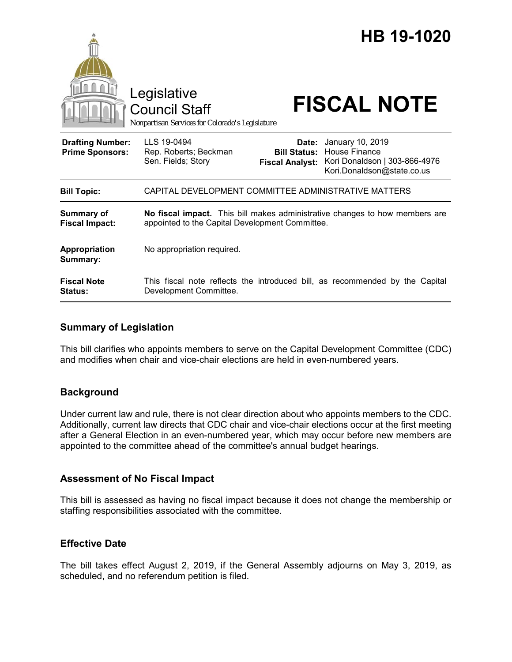|                                                   | Legislative<br><b>Council Staff</b><br>Nonpartisan Services for Colorado's Legislature                                         |                                                        | HB 19-1020<br><b>FISCAL NOTE</b>                                                                 |
|---------------------------------------------------|--------------------------------------------------------------------------------------------------------------------------------|--------------------------------------------------------|--------------------------------------------------------------------------------------------------|
| <b>Drafting Number:</b><br><b>Prime Sponsors:</b> | LLS 19-0494<br>Rep. Roberts; Beckman<br>Sen. Fields; Story                                                                     | Date:<br><b>Bill Status:</b><br><b>Fiscal Analyst:</b> | January 10, 2019<br>House Finance<br>Kori Donaldson   303-866-4976<br>Kori.Donaldson@state.co.us |
| <b>Bill Topic:</b>                                | CAPITAL DEVELOPMENT COMMITTEE ADMINISTRATIVE MATTERS                                                                           |                                                        |                                                                                                  |
| <b>Summary of</b><br><b>Fiscal Impact:</b>        | No fiscal impact. This bill makes administrative changes to how members are<br>appointed to the Capital Development Committee. |                                                        |                                                                                                  |
| <b>Appropriation</b><br>Summary:                  | No appropriation required.                                                                                                     |                                                        |                                                                                                  |
| <b>Fiscal Note</b><br><b>Status:</b>              | Development Committee.                                                                                                         |                                                        | This fiscal note reflects the introduced bill, as recommended by the Capital                     |

## **Summary of Legislation**

This bill clarifies who appoints members to serve on the Capital Development Committee (CDC) and modifies when chair and vice-chair elections are held in even-numbered years.

### **Background**

Under current law and rule, there is not clear direction about who appoints members to the CDC. Additionally, current law directs that CDC chair and vice-chair elections occur at the first meeting after a General Election in an even-numbered year, which may occur before new members are appointed to the committee ahead of the committee's annual budget hearings.

### **Assessment of No Fiscal Impact**

This bill is assessed as having no fiscal impact because it does not change the membership or staffing responsibilities associated with the committee.

### **Effective Date**

The bill takes effect August 2, 2019, if the General Assembly adjourns on May 3, 2019, as scheduled, and no referendum petition is filed.